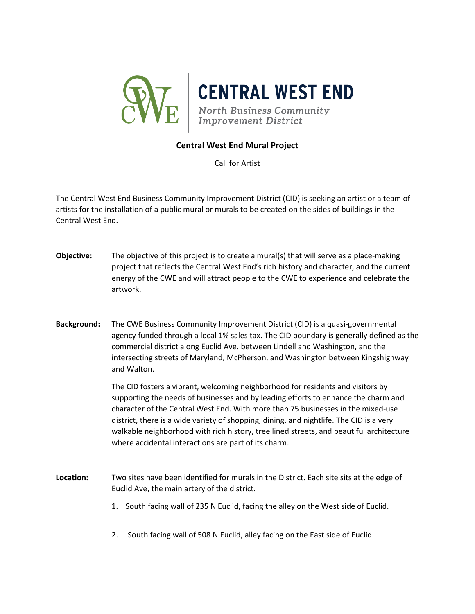

## **Central West End Mural Project**

Call for Artist

The Central West End Business Community Improvement District (CID) is seeking an artist or a team of artists for the installation of a public mural or murals to be created on the sides of buildings in the Central West End.

- **Objective:** The objective of this project is to create a mural(s) that will serve as a place-making project that reflects the Central West End's rich history and character, and the current energy of the CWE and will attract people to the CWE to experience and celebrate the artwork.
- **Background:** The CWE Business Community Improvement District (CID) is a quasi-governmental agency funded through a local 1% sales tax. The CID boundary is generally defined as the commercial district along Euclid Ave. between Lindell and Washington, and the intersecting streets of Maryland, McPherson, and Washington between Kingshighway and Walton.

The CID fosters a vibrant, welcoming neighborhood for residents and visitors by supporting the needs of businesses and by leading efforts to enhance the charm and character of the Central West End. With more than 75 businesses in the mixed-use district, there is a wide variety of shopping, dining, and nightlife. The CID is a very walkable neighborhood with rich history, tree lined streets, and beautiful architecture where accidental interactions are part of its charm.

- **Location:** Two sites have been identified for murals in the District. Each site sits at the edge of Euclid Ave, the main artery of the district.
	- 1. South facing wall of 235 N Euclid, facing the alley on the West side of Euclid.
	- 2. South facing wall of 508 N Euclid, alley facing on the East side of Euclid.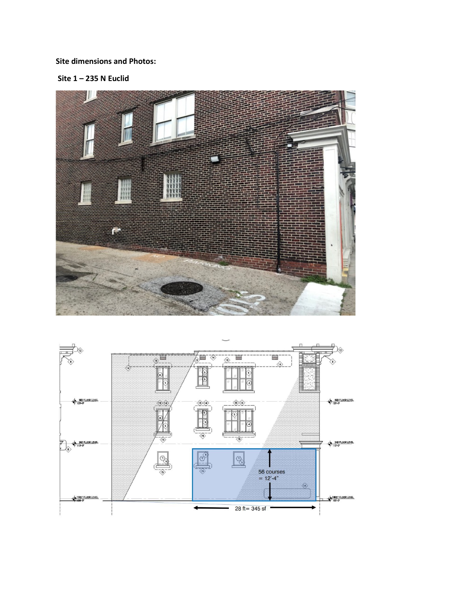# **Site dimensions and Photos:**

Site  $1 - 235$  N Euclid



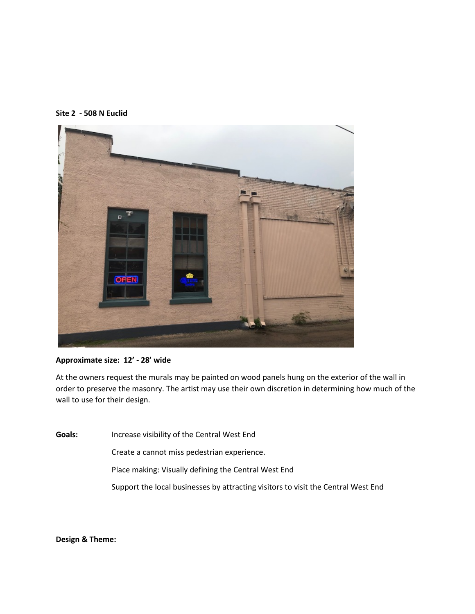



## **Approximate size: 12' - 28' wide**

At the owners request the murals may be painted on wood panels hung on the exterior of the wall in order to preserve the masonry. The artist may use their own discretion in determining how much of the wall to use for their design.

**Goals:** Increase visibility of the Central West End

Create a cannot miss pedestrian experience.

Place making: Visually defining the Central West End

Support the local businesses by attracting visitors to visit the Central West End

**Design & Theme:**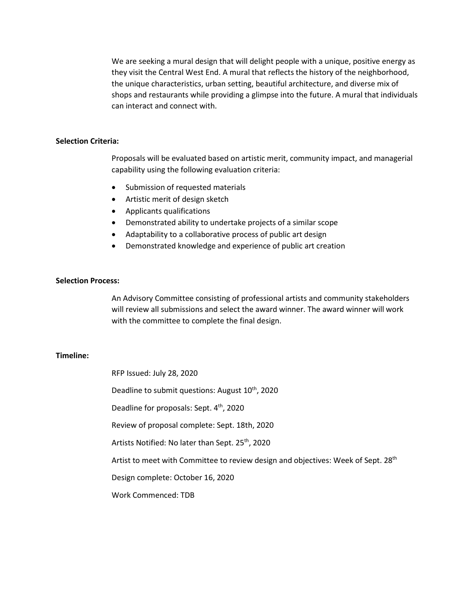We are seeking a mural design that will delight people with a unique, positive energy as they visit the Central West End. A mural that reflects the history of the neighborhood, the unique characteristics, urban setting, beautiful architecture, and diverse mix of shops and restaurants while providing a glimpse into the future. A mural that individuals can interact and connect with.

#### **Selection Criteria:**

Proposals will be evaluated based on artistic merit, community impact, and managerial capability using the following evaluation criteria:

- Submission of requested materials
- Artistic merit of design sketch
- Applicants qualifications
- Demonstrated ability to undertake projects of a similar scope
- Adaptability to a collaborative process of public art design
- Demonstrated knowledge and experience of public art creation

## **Selection Process:**

An Advisory Committee consisting of professional artists and community stakeholders will review all submissions and select the award winner. The award winner will work with the committee to complete the final design.

#### **Timeline:**

RFP Issued: July 28, 2020 Deadline to submit questions: August 10<sup>th</sup>, 2020 Deadline for proposals: Sept. 4<sup>th</sup>, 2020 Review of proposal complete: Sept. 18th, 2020 Artists Notified: No later than Sept. 25<sup>th</sup>, 2020 Artist to meet with Committee to review design and objectives: Week of Sept. 28<sup>th</sup> Design complete: October 16, 2020 Work Commenced: TDB